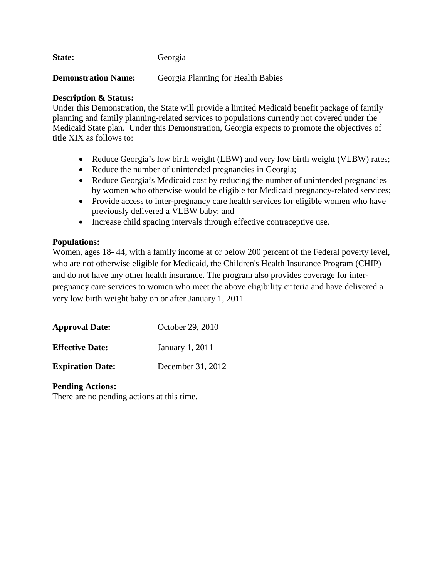State: Georgia

**Demonstration Name:** Georgia Planning for Health Babies

## **Description & Status:**

Under this Demonstration, the State will provide a limited Medicaid benefit package of family planning and family planning-related services to populations currently not covered under the Medicaid State plan. Under this Demonstration, Georgia expects to promote the objectives of title XIX as follows to:

- Reduce Georgia's low birth weight (LBW) and very low birth weight (VLBW) rates;
- Reduce the number of unintended pregnancies in Georgia;
- Reduce Georgia's Medicaid cost by reducing the number of unintended pregnancies by women who otherwise would be eligible for Medicaid pregnancy-related services;
- Provide access to inter-pregnancy care health services for eligible women who have previously delivered a VLBW baby; and
- Increase child spacing intervals through effective contraceptive use.

# **Populations:**

Women, ages 18- 44, with a family income at or below 200 percent of the Federal poverty level, who are not otherwise eligible for Medicaid, the Children's Health Insurance Program (CHIP) and do not have any other health insurance. The program also provides coverage for interpregnancy care services to women who meet the above eligibility criteria and have delivered a very low birth weight baby on or after January 1, 2011.

| <b>Approval Date:</b>   | October 29, 2010  |
|-------------------------|-------------------|
| <b>Effective Date:</b>  | January 1, 2011   |
| <b>Expiration Date:</b> | December 31, 2012 |

#### **Pending Actions:**

There are no pending actions at this time.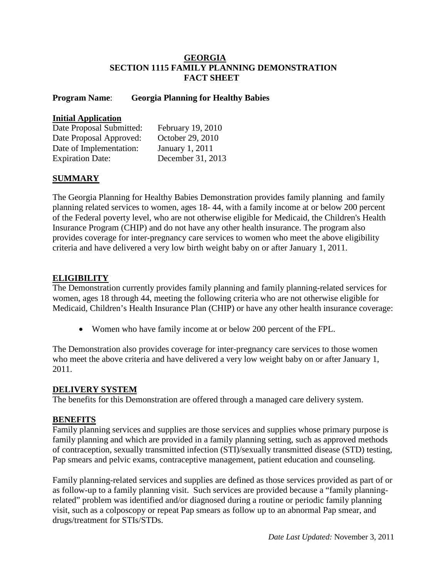## **GEORGIA SECTION 1115 FAMILY PLANNING DEMONSTRATION FACT SHEET**

## **Program Name**: **Georgia Planning for Healthy Babies**

#### **Initial Application**

| Date Proposal Submitted: | February 19, 2010 |
|--------------------------|-------------------|
| Date Proposal Approved:  | October 29, 2010  |
| Date of Implementation:  | January 1, 2011   |
| <b>Expiration Date:</b>  | December 31, 2013 |

## **SUMMARY**

The Georgia Planning for Healthy Babies Demonstration provides family planning and family planning related services to women, ages 18- 44, with a family income at or below 200 percent of the Federal poverty level, who are not otherwise eligible for Medicaid, the Children's Health Insurance Program (CHIP) and do not have any other health insurance. The program also provides coverage for inter-pregnancy care services to women who meet the above eligibility criteria and have delivered a very low birth weight baby on or after January 1, 2011.

# **ELIGIBILITY**

The Demonstration currently provides family planning and family planning-related services for women, ages 18 through 44, meeting the following criteria who are not otherwise eligible for Medicaid, Children's Health Insurance Plan (CHIP) or have any other health insurance coverage:

• Women who have family income at or below 200 percent of the FPL.

The Demonstration also provides coverage for inter-pregnancy care services to those women who meet the above criteria and have delivered a very low weight baby on or after January 1, 2011.

#### **DELIVERY SYSTEM**

The benefits for this Demonstration are offered through a managed care delivery system.

#### **BENEFITS**

Family planning services and supplies are those services and supplies whose primary purpose is family planning and which are provided in a family planning setting, such as approved methods of contraception, sexually transmitted infection (STI)/sexually transmitted disease (STD) testing, Pap smears and pelvic exams, contraceptive management, patient education and counseling.

Family planning-related services and supplies are defined as those services provided as part of or as follow-up to a family planning visit. Such services are provided because a "family planningrelated" problem was identified and/or diagnosed during a routine or periodic family planning visit, such as a colposcopy or repeat Pap smears as follow up to an abnormal Pap smear, and drugs/treatment for STIs/STDs.